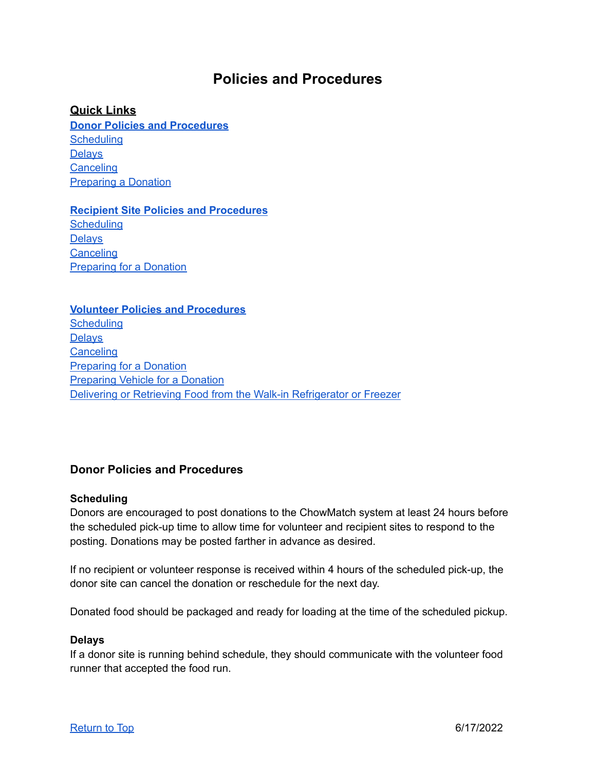# **Policies and Procedures**

## <span id="page-0-3"></span>**Quick Links**

**Donor Policies and [Procedures](#page-0-0) [Scheduling](#page-0-1) [Delays](#page-0-2) [Canceling](#page-1-0)** [Preparing](#page-1-1) a Donation

**Recipient Site Policies and [Procedures](#page-1-2) [Scheduling](#page-1-3) [Delays](#page-1-4) [Canceling](#page-1-5) [Preparing](#page-1-6) for a Donation** 

#### **Volunteer Policies and [Procedures](#page-2-0)**

**[Scheduling](#page-2-1) [Delays](#page-2-2) [Canceling](#page-2-3)** [Preparing](#page-2-4) for a Donation [Preparing](#page-2-5) Vehicle for a Donation Delivering or [Retrieving](#page-2-6) Food from the Walk-in Refrigerator or Freezer

# <span id="page-0-0"></span>**Donor Policies and Procedures**

#### <span id="page-0-1"></span>**Scheduling**

Donors are encouraged to post donations to the ChowMatch system at least 24 hours before the scheduled pick-up time to allow time for volunteer and recipient sites to respond to the posting. Donations may be posted farther in advance as desired.

If no recipient or volunteer response is received within 4 hours of the scheduled pick-up, the donor site can cancel the donation or reschedule for the next day.

Donated food should be packaged and ready for loading at the time of the scheduled pickup.

#### <span id="page-0-2"></span>**Delays**

If a donor site is running behind schedule, they should communicate with the volunteer food runner that accepted the food run.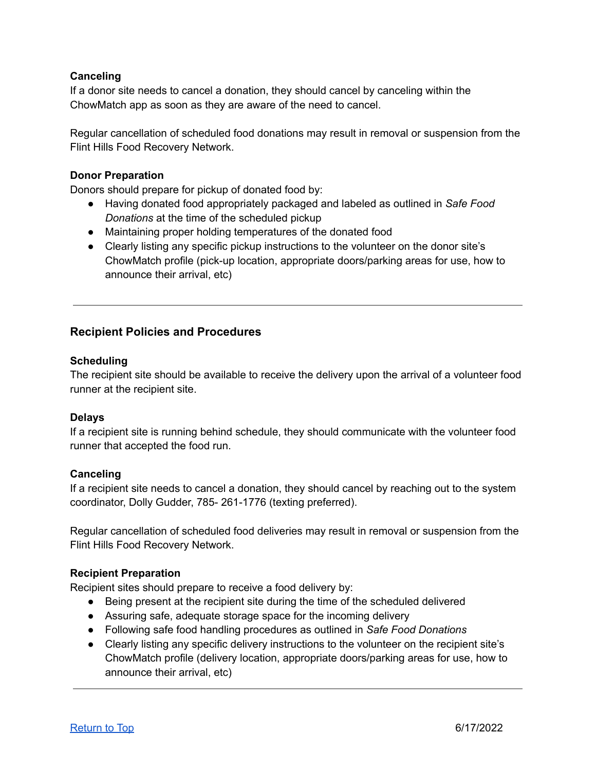## <span id="page-1-0"></span>**Canceling**

If a donor site needs to cancel a donation, they should cancel by canceling within the ChowMatch app as soon as they are aware of the need to cancel.

Regular cancellation of scheduled food donations may result in removal or suspension from the Flint Hills Food Recovery Network.

#### <span id="page-1-1"></span>**Donor Preparation**

Donors should prepare for pickup of donated food by:

- Having donated food appropriately packaged and labeled as outlined in *Safe Food Donations* at the time of the scheduled pickup
- Maintaining proper holding temperatures of the donated food
- Clearly listing any specific pickup instructions to the volunteer on the donor site's ChowMatch profile (pick-up location, appropriate doors/parking areas for use, how to announce their arrival, etc)

# <span id="page-1-2"></span>**Recipient Policies and Procedures**

#### <span id="page-1-3"></span>**Scheduling**

The recipient site should be available to receive the delivery upon the arrival of a volunteer food runner at the recipient site.

#### <span id="page-1-4"></span>**Delays**

If a recipient site is running behind schedule, they should communicate with the volunteer food runner that accepted the food run.

#### <span id="page-1-5"></span>**Canceling**

If a recipient site needs to cancel a donation, they should cancel by reaching out to the system coordinator, Dolly Gudder, 785- 261-1776 (texting preferred).

Regular cancellation of scheduled food deliveries may result in removal or suspension from the Flint Hills Food Recovery Network.

#### <span id="page-1-6"></span>**Recipient Preparation**

Recipient sites should prepare to receive a food delivery by:

- Being present at the recipient site during the time of the scheduled delivered
- Assuring safe, adequate storage space for the incoming delivery
- Following safe food handling procedures as outlined in *Safe Food Donations*
- Clearly listing any specific delivery instructions to the volunteer on the recipient site's ChowMatch profile (delivery location, appropriate doors/parking areas for use, how to announce their arrival, etc)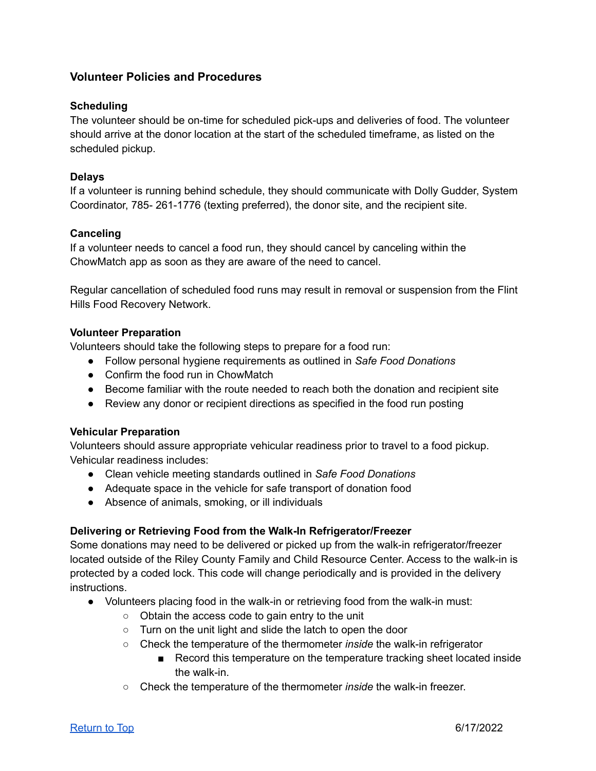# <span id="page-2-0"></span>**Volunteer Policies and Procedures**

#### <span id="page-2-1"></span>**Scheduling**

The volunteer should be on-time for scheduled pick-ups and deliveries of food. The volunteer should arrive at the donor location at the start of the scheduled timeframe, as listed on the scheduled pickup.

## <span id="page-2-2"></span>**Delays**

If a volunteer is running behind schedule, they should communicate with Dolly Gudder, System Coordinator, 785- 261-1776 (texting preferred), the donor site, and the recipient site.

## <span id="page-2-3"></span>**Canceling**

If a volunteer needs to cancel a food run, they should cancel by canceling within the ChowMatch app as soon as they are aware of the need to cancel.

Regular cancellation of scheduled food runs may result in removal or suspension from the Flint Hills Food Recovery Network.

## <span id="page-2-4"></span>**Volunteer Preparation**

Volunteers should take the following steps to prepare for a food run:

- Follow personal hygiene requirements as outlined in *Safe Food Donations*
- Confirm the food run in ChowMatch
- Become familiar with the route needed to reach both the donation and recipient site
- Review any donor or recipient directions as specified in the food run posting

#### <span id="page-2-5"></span>**Vehicular Preparation**

Volunteers should assure appropriate vehicular readiness prior to travel to a food pickup. Vehicular readiness includes:

- Clean vehicle meeting standards outlined in *Safe Food Donations*
- Adequate space in the vehicle for safe transport of donation food
- Absence of animals, smoking, or ill individuals

#### <span id="page-2-6"></span>**Delivering or Retrieving Food from the Walk-In Refrigerator/Freezer**

Some donations may need to be delivered or picked up from the walk-in refrigerator/freezer located outside of the Riley County Family and Child Resource Center. Access to the walk-in is protected by a coded lock. This code will change periodically and is provided in the delivery instructions.

- Volunteers placing food in the walk-in or retrieving food from the walk-in must:
	- Obtain the access code to gain entry to the unit
	- Turn on the unit light and slide the latch to open the door
	- Check the temperature of the thermometer *inside* the walk-in refrigerator
		- Record this temperature on the temperature tracking sheet located inside the walk-in.
	- Check the temperature of the thermometer *inside* the walk-in freezer.